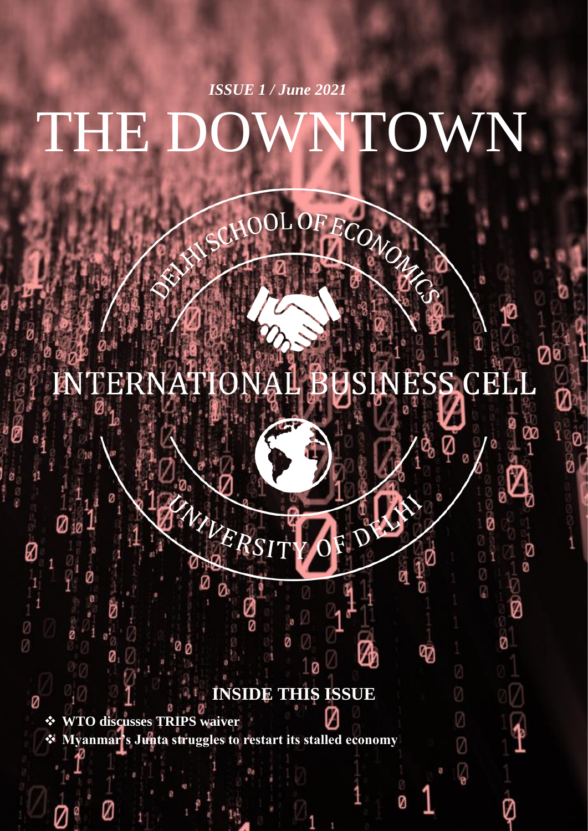# THE DOWNTOWN *ISSUE 1 / June 2021*

#### **ENTERNATIC USINESS CEL**  $\frac{1}{2}$

ECONON

ø

V

Ø Ø

0<br>R

Ø

V

ወ

2

Z

Ø

 $\sqrt{\frac{1}{2}}$ 

# **INSIDE THIS ISSUE**

❖ **WTO discusses TRIPS waiver** ❖ **Myanmar's Junta struggles to restart its stalled economy**

Ø

NIVER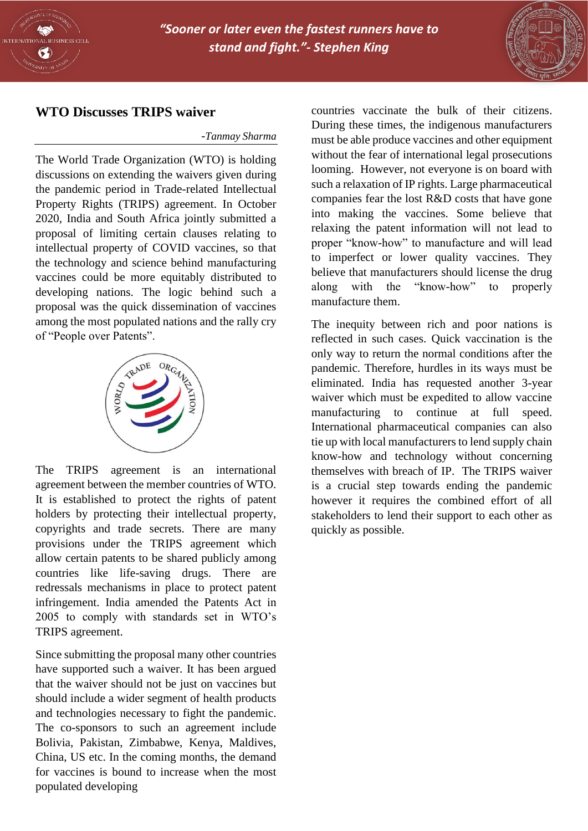



### **WTO Discusses TRIPS waiver**

#### -*Tanmay Sharma*

The World Trade Organization (WTO) is holding discussions on extending the waivers given during the pandemic period in Trade-related Intellectual Property Rights (TRIPS) agreement. In October 2020, India and South Africa jointly submitted a proposal of limiting certain clauses relating to intellectual property of COVID vaccines, so that the technology and science behind manufacturing vaccines could be more equitably distributed to developing nations. The logic behind such a proposal was the quick dissemination of vaccines among the most populated nations and the rally cry of "People over Patents".



The TRIPS agreement is an international agreement between the member countries of WTO. It is established to protect the rights of patent holders by protecting their intellectual property, copyrights and trade secrets. There are many provisions under the TRIPS agreement which allow certain patents to be shared publicly among countries like life-saving drugs. There are redressals mechanisms in place to protect patent infringement. India amended the Patents Act in 2005 to comply with standards set in WTO's TRIPS agreement.

Since submitting the proposal many other countries have supported such a waiver. It has been argued that the waiver should not be just on vaccines but should include a wider segment of health products and technologies necessary to fight the pandemic. The co-sponsors to such an agreement include Bolivia, Pakistan, Zimbabwe, Kenya, Maldives, China, US etc. In the coming months, the demand for vaccines is bound to increase when the most populated developing

countries vaccinate the bulk of their citizens. During these times, the indigenous manufacturers must be able produce vaccines and other equipment without the fear of international legal prosecutions looming. However, not everyone is on board with such a relaxation of IP rights. Large pharmaceutical companies fear the lost R&D costs that have gone into making the vaccines. Some believe that relaxing the patent information will not lead to proper "know-how" to manufacture and will lead to imperfect or lower quality vaccines. They believe that manufacturers should license the drug along with the "know-how" to properly manufacture them.

The inequity between rich and poor nations is reflected in such cases. Quick vaccination is the only way to return the normal conditions after the pandemic. Therefore, hurdles in its ways must be eliminated. India has requested another 3-year waiver which must be expedited to allow vaccine manufacturing to continue at full speed. International pharmaceutical companies can also tie up with local manufacturers to lend supply chain know-how and technology without concerning themselves with breach of IP. The TRIPS waiver is a crucial step towards ending the pandemic however it requires the combined effort of all stakeholders to lend their support to each other as quickly as possible.